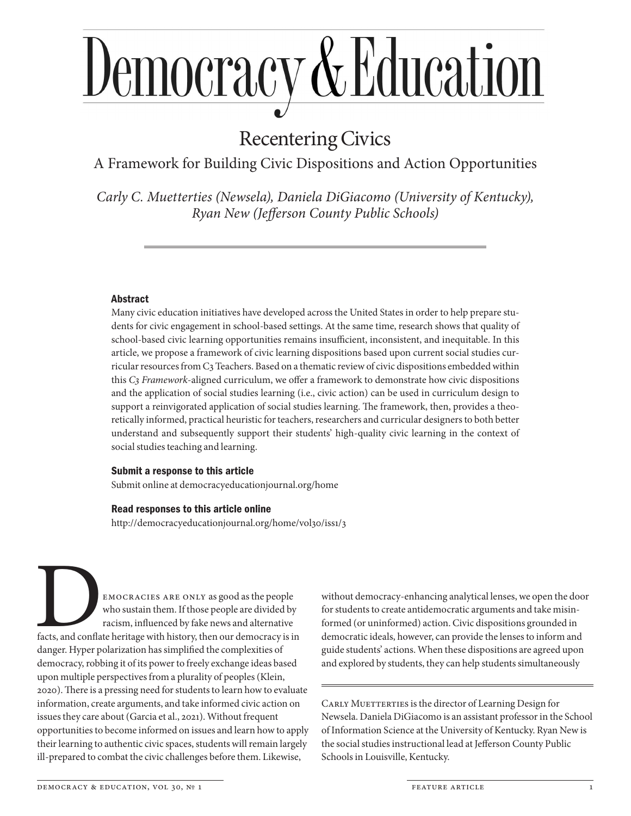# <u>Democracy & Education</u>

# Recentering Civics

A Framework for Building Civic Dispositions and Action Opportunities

*Carly C. Muetterties (Newsela), Daniela DiGiacomo (University of Kentucky), Ryan New (Jefferson County Public Schools)*

# Abstract

Many civic education initiatives have developed across the United States in order to help prepare students for civic engagement in school-based settings. At the same time, research shows that quality of school-based civic learning opportunities remains insufficient, inconsistent, and inequitable. In this article, we propose a framework of civic learning dispositions based upon current social studies curricular resources from C3 Teachers. Based on a thematic review of civic dispositions embedded within this *C3 Framework*-aligned curriculum, we offer a framework to demonstrate how civic dispositions and the application of social studies learning (i.e., civic action) can be used in curriculum design to support a reinvigorated application of social studies learning. The framework, then, provides a theoretically informed, practical heuristic for teachers, researchers and curricular designers to both better understand and subsequently support their students' high-quality civic learning in the context of social studies teaching and learning.

# Submit a response to this article

Submit online at democracyeducationjournal.org/home

# Read responses to this article online

http://democracyeducationjournal.org/home/vol30/iss1/3

EMOCRACIES ARE ONLY as good as the people<br>who sustain them. If those people are divided by<br>racism, influenced by fake news and alternative<br>facts, and conflate heritage with history, then our democracy is is<br>danger. Hyper p who sustain them. If those people are divided by racism, influenced by fake news and alternative facts, and conflate heritage with history, then our democracy is in danger. Hyper polarization has simplified the complexities of democracy, robbing it of its power to freely exchange ideas based upon multiple perspectives from a plurality of peoples (Klein, 2020). There is a pressing need for students to learn how to evaluate information, create arguments, and take informed civic action on issues they care about (Garcia et al., 2021). Without frequent opportunities to become informed on issues and learn how to apply their learning to authentic civic spaces, students will remain largely ill-prepared to combat the civic challenges before them. Likewise,

without democracy-enhancing analytical lenses, we open the door for students to create antidemocratic arguments and take misinformed (or uninformed) action. Civic dispositions grounded in democratic ideals, however, can provide the lenses to inform and guide students' actions. When these dispositions are agreed upon and explored by students, they can help students simultaneously

CARLY MUETTERTIES is the director of Learning Design for Newsela. Daniela DiGiacomo is an assistant professor in the School of Information Science at the University of Kentucky. Ryan New is the social studies instructional lead at Jefferson County Public Schools in Louisville, Kentucky.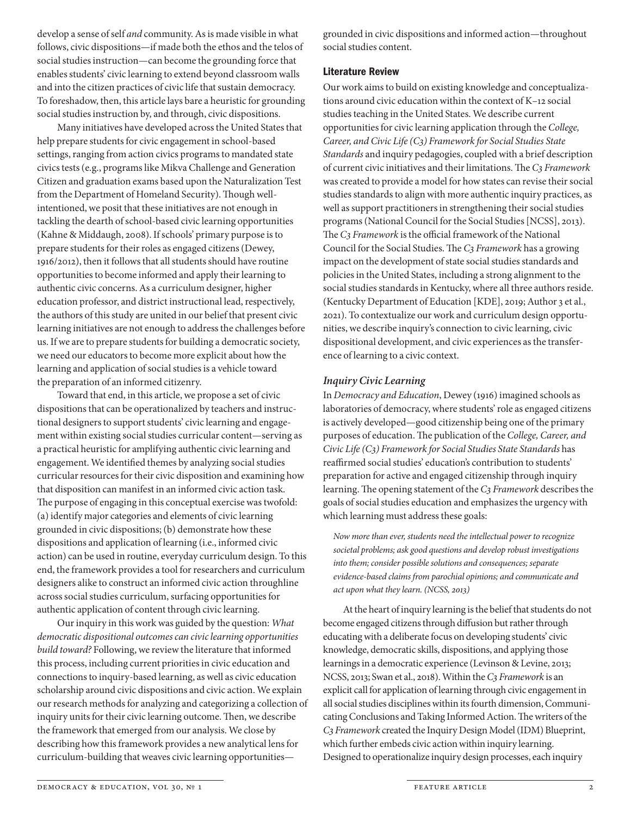develop a sense of self *and* community. As is made visible in what follows, civic dispositions—if made both the ethos and the telos of social studies instruction—can become the grounding force that enables students' civic learning to extend beyond classroom walls and into the citizen practices of civic life that sustain democracy. To foreshadow, then, this article lays bare a heuristic for grounding social studies instruction by, and through, civic dispositions.

Many initiatives have developed across the United States that help prepare students for civic engagement in school-based settings, ranging from action civics programs to mandated state civics tests (e.g., programs like Mikva Challenge and Generation Citizen and graduation exams based upon the Naturalization Test from the Department of Homeland Security). Though wellintentioned, we posit that these initiatives are not enough in tackling the dearth of school-based civic learning opportunities (Kahne & Middaugh, 2008). If schools' primary purpose is to prepare students for their roles as engaged citizens (Dewey, 1916/2012), then it follows that all students should have routine opportunities to become informed and apply their learning to authentic civic concerns. As a curriculum designer, higher education professor, and district instructional lead, respectively, the authors of this study are united in our belief that present civic learning initiatives are not enough to address the challenges before us. If we are to prepare students for building a democratic society, we need our educators to become more explicit about how the learning and application of social studies is a vehicle toward the preparation of an informed citizenry.

Toward that end, in this article, we propose a set of civic dispositions that can be operationalized by teachers and instructional designers to support students' civic learning and engagement within existing social studies curricular content—serving as a practical heuristic for amplifying authentic civic learning and engagement. We identified themes by analyzing social studies curricular resources for their civic disposition and examining how that disposition can manifest in an informed civic action task. The purpose of engaging in this conceptual exercise was twofold: (a) identify major categories and elements of civic learning grounded in civic dispositions; (b) demonstrate how these dispositions and application of learning (i.e., informed civic action) can be used in routine, everyday curriculum design. To this end, the framework provides a tool for researchers and curriculum designers alike to construct an informed civic action throughline across social studies curriculum, surfacing opportunities for authentic application of content through civic learning.

Our inquiry in this work was guided by the question: *What democratic dispositional outcomes can civic learning opportunities build toward?* Following, we review the literature that informed this process, including current priorities in civic education and connections to inquiry-based learning, as well as civic education scholarship around civic dispositions and civic action. We explain our research methods for analyzing and categorizing a collection of inquiry units for their civic learning outcome. Then, we describe the framework that emerged from our analysis. We close by describing how this framework provides a new analytical lens for curriculum-building that weaves civic learning opportunities—

grounded in civic dispositions and informed action—throughout social studies content.

# Literature Review

Our work aims to build on existing knowledge and conceptualizations around civic education within the context of K–12 social studies teaching in the United States. We describe current opportunities for civic learning application through the *College, Career, and Civic Life (C3) Framework for Social Studies State Standards* and inquiry pedagogies, coupled with a brief description of current civic initiatives and their limitations. The *C3 Framework* was created to provide a model for how states can revise their social studies standards to align with more authentic inquiry practices, as well as support practitioners in strengthening their social studies programs (National Council for the Social Studies [NCSS], 2013). The *C3 Framework* is the official framework of the National Council for the Social Studies. The *C3 Framework* has a growing impact on the development of state social studies standards and policies in the United States, including a strong alignment to the social studies standards in Kentucky, where all three authors reside. (Kentucky Department of Education [KDE], 2019; Author 3 et al., 2021). To contextualize our work and curriculum design opportunities, we describe inquiry's connection to civic learning, civic dispositional development, and civic experiences as the transference of learning to a civic context.

# *Inquiry Civic Learning*

In *Democracy and Education*, Dewey (1916) imagined schools as laboratories of democracy, where students' role as engaged citizens is actively developed—good citizenship being one of the primary purposes of education. The publication of the *College, Career, and Civic Life (C3) Framework for Social Studies State Standards* has reaffirmed social studies' education's contribution to students' preparation for active and engaged citizenship through inquiry learning. The opening statement of the *C3 Framework* describes the goals of social studies education and emphasizes the urgency with which learning must address these goals:

*Now more than ever, students need the intellectual power to recognize societal problems; ask good questions and develop robust investigations into them; consider possible solutions and consequences; separate evidence-based claims from parochial opinions; and communicate and act upon what they learn. (NCSS, 2013)*

At the heart of inquiry learning is the belief that students do not become engaged citizens through diffusion but rather through educating with a deliberate focus on developing students' civic knowledge, democratic skills, dispositions, and applying those learnings in a democratic experience (Levinson & Levine, 2013; NCSS, 2013; Swan et al., 2018). Within the *C3 Framework* is an explicit call for application of learning through civic engagement in all social studies disciplines within its fourth dimension, Communicating Conclusions and Taking Informed Action. The writers of the *C3 Framework* created the Inquiry Design Model (IDM) Blueprint, which further embeds civic action within inquiry learning. Designed to operationalize inquiry design processes, each inquiry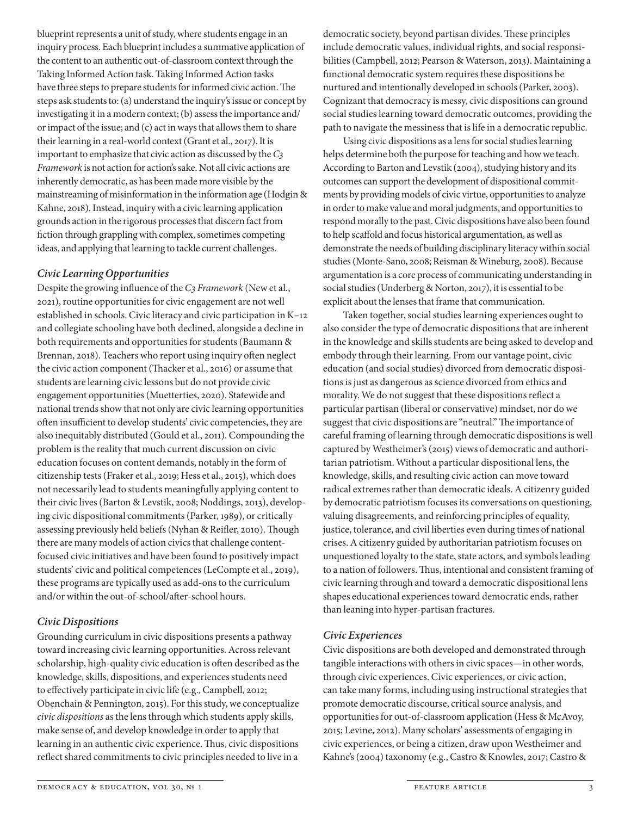blueprint represents a unit of study, where students engage in an inquiry process. Each blueprint includes a summative application of the content to an authentic out-of-classroom context through the Taking Informed Action task. Taking Informed Action tasks have three steps to prepare students for informed civic action. The steps ask students to: (a) understand the inquiry's issue or concept by investigating it in a modern context; (b) assess the importance and/ or impact of the issue; and (c) act in ways that allows them to share their learning in a real-world context (Grant et al., 2017). It is important to emphasize that civic action as discussed by the *C3 Framework* is not action for action's sake. Not all civic actions are inherently democratic, as has been made more visible by the mainstreaming of misinformation in the information age (Hodgin & Kahne, 2018). Instead, inquiry with a civic learning application grounds action in the rigorous processes that discern fact from fiction through grappling with complex, sometimes competing ideas, and applying that learning to tackle current challenges.

# *Civic Learning Opportunities*

Despite the growing influence of the *C3 Framework* (New et al., 2021), routine opportunities for civic engagement are not well established in schools. Civic literacy and civic participation in K–12 and collegiate schooling have both declined, alongside a decline in both requirements and opportunities for students (Baumann & Brennan, 2018). Teachers who report using inquiry often neglect the civic action component (Thacker et al., 2016) or assume that students are learning civic lessons but do not provide civic engagement opportunities (Muetterties, 2020). Statewide and national trends show that not only are civic learning opportunities often insufficient to develop students' civic competencies, they are also inequitably distributed (Gould et al., 2011). Compounding the problem is the reality that much current discussion on civic education focuses on content demands, notably in the form of citizenship tests (Fraker et al., 2019; Hess et al., 2015), which does not necessarily lead to students meaningfully applying content to their civic lives (Barton & Levstik, 2008; Noddings, 2013), developing civic dispositional commitments (Parker, 1989), or critically assessing previously held beliefs (Nyhan & Reifler, 2010). Though there are many models of action civics that challenge contentfocused civic initiatives and have been found to positively impact students' civic and political competences (LeCompte et al., 2019), these programs are typically used as add-ons to the curriculum and/or within the out-of-school/after-school hours.

# *Civic Dispositions*

Grounding curriculum in civic dispositions presents a pathway toward increasing civic learning opportunities. Across relevant scholarship, high-quality civic education is often described as the knowledge, skills, dispositions, and experiences students need to effectively participate in civic life (e.g., Campbell, 2012; Obenchain & Pennington, 2015). For this study, we conceptualize *civic dispositions* as the lens through which students apply skills, make sense of, and develop knowledge in order to apply that learning in an authentic civic experience. Thus, civic dispositions reflect shared commitments to civic principles needed to live in a

democratic society, beyond partisan divides. These principles include democratic values, individual rights, and social responsibilities (Campbell, 2012; Pearson & Waterson, 2013). Maintaining a functional democratic system requires these dispositions be nurtured and intentionally developed in schools (Parker, 2003). Cognizant that democracy is messy, civic dispositions can ground social studies learning toward democratic outcomes, providing the path to navigate the messiness that is life in a democratic republic.

Using civic dispositions as a lens for social studies learning helps determine both the purpose for teaching and how we teach. According to Barton and Levstik (2004), studying history and its outcomes can support the development of dispositional commitments by providing models of civic virtue, opportunities to analyze in order to make value and moral judgments, and opportunities to respond morally to the past. Civic dispositions have also been found to help scaffold and focus historical argumentation, as well as demonstrate the needs of building disciplinary literacy within social studies (Monte-Sano, 2008; Reisman & Wineburg, 2008). Because argumentation is a core process of communicating understanding in social studies (Underberg & Norton, 2017), it is essential to be explicit about the lenses that frame that communication.

Taken together, social studies learning experiences ought to also consider the type of democratic dispositions that are inherent in the knowledge and skills students are being asked to develop and embody through their learning. From our vantage point, civic education (and social studies) divorced from democratic dispositions is just as dangerous as science divorced from ethics and morality. We do not suggest that these dispositions reflect a particular partisan (liberal or conservative) mindset, nor do we suggest that civic dispositions are "neutral." The importance of careful framing of learning through democratic dispositions is well captured by Westheimer's (2015) views of democratic and authoritarian patriotism. Without a particular dispositional lens, the knowledge, skills, and resulting civic action can move toward radical extremes rather than democratic ideals. A citizenry guided by democratic patriotism focuses its conversations on questioning, valuing disagreements, and reinforcing principles of equality, justice, tolerance, and civil liberties even during times of national crises. A citizenry guided by authoritarian patriotism focuses on unquestioned loyalty to the state, state actors, and symbols leading to a nation of followers. Thus, intentional and consistent framing of civic learning through and toward a democratic dispositional lens shapes educational experiences toward democratic ends, rather than leaning into hyper-partisan fractures.

# *Civic Experiences*

Civic dispositions are both developed and demonstrated through tangible interactions with others in civic spaces—in other words, through civic experiences. Civic experiences, or civic action, can take many forms, including using instructional strategies that promote democratic discourse, critical source analysis, and opportunities for out-of-classroom application (Hess & McAvoy, 2015; Levine, 2012). Many scholars' assessments of engaging in civic experiences, or being a citizen, draw upon Westheimer and Kahne's (2004) taxonomy (e.g., Castro & Knowles, 2017; Castro &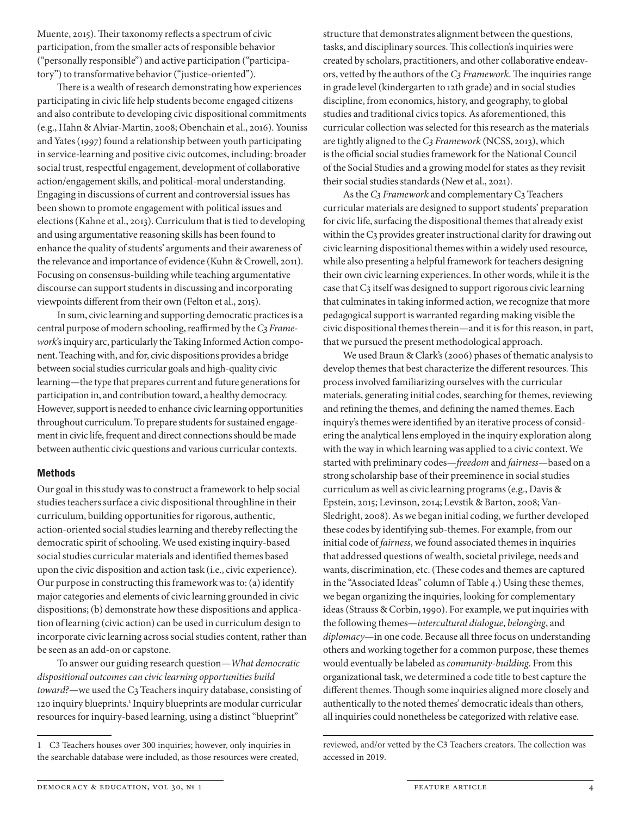Muente, 2015). Their taxonomy reflects a spectrum of civic participation, from the smaller acts of responsible behavior ("personally responsible") and active participation ("participatory") to transformative behavior ("justice-oriented").

There is a wealth of research demonstrating how experiences participating in civic life help students become engaged citizens and also contribute to developing civic dispositional commitments (e.g., Hahn & Alviar-Martin, 2008; Obenchain et al., 2016). Youniss and Yates (1997) found a relationship between youth participating in service-learning and positive civic outcomes, including: broader social trust, respectful engagement, development of collaborative action/engagement skills, and political-moral understanding. Engaging in discussions of current and controversial issues has been shown to promote engagement with political issues and elections (Kahne et al., 2013). Curriculum that is tied to developing and using argumentative reasoning skills has been found to enhance the quality of students' arguments and their awareness of the relevance and importance of evidence (Kuhn & Crowell, 2011). Focusing on consensus-building while teaching argumentative discourse can support students in discussing and incorporating viewpoints different from their own (Felton et al., 2015).

In sum, civic learning and supporting democratic practices is a central purpose of modern schooling, reaffirmed by the *C3 Framework*'s inquiry arc, particularly the Taking Informed Action component. Teaching with, and for, civic dispositions provides a bridge between social studies curricular goals and high-quality civic learning—the type that prepares current and future generations for participation in, and contribution toward, a healthy democracy. However, support is needed to enhance civic learning opportunities throughout curriculum. To prepare students for sustained engagement in civic life, frequent and direct connections should be made between authentic civic questions and various curricular contexts.

#### **Methods**

Our goal in this study was to construct a framework to help social studies teachers surface a civic dispositional throughline in their curriculum, building opportunities for rigorous, authentic, action-oriented social studies learning and thereby reflecting the democratic spirit of schooling. We used existing inquiry-based social studies curricular materials and identified themes based upon the civic disposition and action task (i.e., civic experience). Our purpose in constructing this framework was to: (a) identify major categories and elements of civic learning grounded in civic dispositions; (b) demonstrate how these dispositions and application of learning (civic action) can be used in curriculum design to incorporate civic learning across social studies content, rather than be seen as an add-on or capstone.

To answer our guiding research question—*What democratic dispositional outcomes can civic learning opportunities build toward?*—we used the C3 Teachers inquiry database, consisting of 120 inquiry blueprints.<sup>1</sup> Inquiry blueprints are modular curricular resources for inquiry-based learning, using a distinct "blueprint"

structure that demonstrates alignment between the questions, tasks, and disciplinary sources. This collection's inquiries were created by scholars, practitioners, and other collaborative endeavors, vetted by the authors of the *C3 Framework*. The inquiries range in grade level (kindergarten to 12th grade) and in social studies discipline, from economics, history, and geography, to global studies and traditional civics topics. As aforementioned, this curricular collection was selected for this research as the materials are tightly aligned to the *C3 Framework* (NCSS, 2013), which is the official social studies framework for the National Council of the Social Studies and a growing model for states as they revisit their social studies standards (New et al., 2021).

As the *C3 Framework* and complementary C3 Teachers curricular materials are designed to support students' preparation for civic life, surfacing the dispositional themes that already exist within the C3 provides greater instructional clarity for drawing out civic learning dispositional themes within a widely used resource, while also presenting a helpful framework for teachers designing their own civic learning experiences. In other words, while it is the case that C3 itself was designed to support rigorous civic learning that culminates in taking informed action, we recognize that more pedagogical support is warranted regarding making visible the civic dispositional themes therein—and it is for this reason, in part, that we pursued the present methodological approach.

We used Braun & Clark's (2006) phases of thematic analysis to develop themes that best characterize the different resources. This process involved familiarizing ourselves with the curricular materials, generating initial codes, searching for themes, reviewing and refining the themes, and defining the named themes. Each inquiry's themes were identified by an iterative process of considering the analytical lens employed in the inquiry exploration along with the way in which learning was applied to a civic context. We started with preliminary codes—*freedom* and *fairness*—based on a strong scholarship base of their preeminence in social studies curriculum as well as civic learning programs (e.g., Davis & Epstein, 2015; Levinson, 2014; Levstik & Barton, 2008; Van-Sledright, 2008). As we began initial coding, we further developed these codes by identifying sub-themes. For example, from our initial code of *fairness*, we found associated themes in inquiries that addressed questions of wealth, societal privilege, needs and wants, discrimination, etc. (These codes and themes are captured in the "Associated Ideas" column of Table 4.) Using these themes, we began organizing the inquiries, looking for complementary ideas (Strauss & Corbin, 1990). For example, we put inquiries with the following themes—*intercultural dialogue*, *belonging*, and *diplomacy*—in one code. Because all three focus on understanding others and working together for a common purpose, these themes would eventually be labeled as *community-building*. From this organizational task, we determined a code title to best capture the different themes. Though some inquiries aligned more closely and authentically to the noted themes' democratic ideals than others, all inquiries could nonetheless be categorized with relative ease.

DEMOCRACY & EDUCATION, VOL 30, Nº 1 feature article 4 feature article 4

<sup>1</sup> C3 Teachers houses over 300 inquiries; however, only inquiries in the searchable database were included, as those resources were created,

reviewed, and/or vetted by the C3 Teachers creators. The collection was accessed in 2019.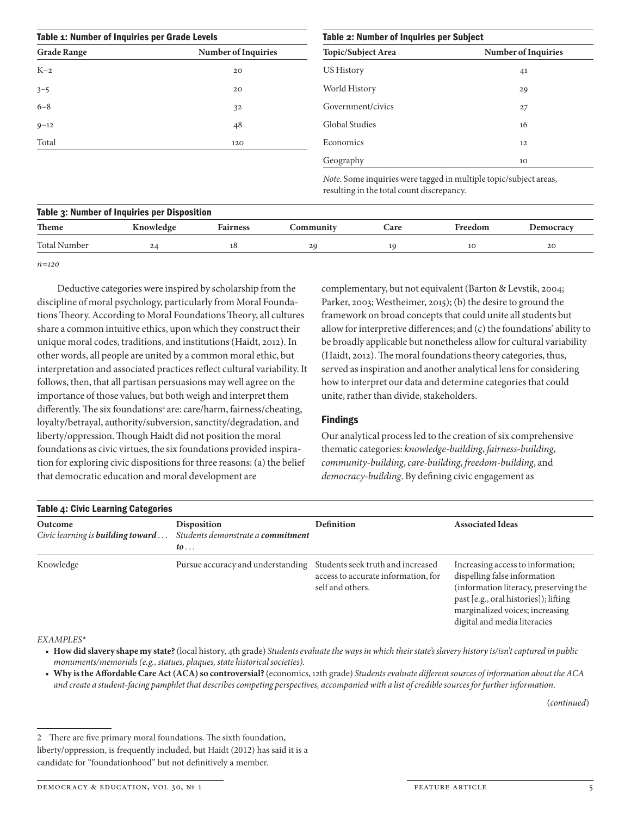| Table 1: Number of Inquiries per Grade Levels |                     | Table 2: Number of Inquiries per Subject                                                                       |                            |
|-----------------------------------------------|---------------------|----------------------------------------------------------------------------------------------------------------|----------------------------|
| <b>Grade Range</b>                            | Number of Inquiries | Topic/Subject Area                                                                                             | <b>Number of Inquiries</b> |
| $K-2$                                         | 20                  | <b>US History</b>                                                                                              | 41                         |
| $3 - 5$                                       | 20                  | World History                                                                                                  | 29                         |
| $6 - 8$                                       | 32                  | Government/civics                                                                                              | 27                         |
| $9 - 12$                                      | 48                  | <b>Global Studies</b>                                                                                          | 16                         |
| Total                                         | 120                 | Economics                                                                                                      | 12                         |
|                                               |                     | Geography                                                                                                      | 10                         |
|                                               |                     | Note. Some inquiries were tagged in multiple topic/subject areas,<br>resulting in the total count discrepancy. |                            |

| Table 3: Number of Inquiries per Disposition |           |                 |           |      |         |           |
|----------------------------------------------|-----------|-----------------|-----------|------|---------|-----------|
| <b>Theme</b>                                 | Knowledge | <b>Fairness</b> | Communitv | Care | Freedom | Democracy |
| <b>Total Number</b>                          | 24        | 18              | 29        |      | 10      | 20        |
|                                              |           |                 |           |      |         |           |

*n=120*

Deductive categories were inspired by scholarship from the discipline of moral psychology, particularly from Moral Foundations Theory. According to Moral Foundations Theory, all cultures share a common intuitive ethics, upon which they construct their unique moral codes, traditions, and institutions (Haidt, 2012). In other words, all people are united by a common moral ethic, but interpretation and associated practices reflect cultural variability. It follows, then, that all partisan persuasions may well agree on the importance of those values, but both weigh and interpret them differently. The six foundations<sup>2</sup> are: care/harm, fairness/cheating, loyalty/betrayal, authority/subversion, sanctity/degradation, and liberty/oppression. Though Haidt did not position the moral foundations as civic virtues, the six foundations provided inspiration for exploring civic dispositions for three reasons: (a) the belief that democratic education and moral development are

complementary, but not equivalent (Barton & Levstik, 2004; Parker, 2003; Westheimer, 2015); (b) the desire to ground the framework on broad concepts that could unite all students but allow for interpretive differences; and (c) the foundations' ability to be broadly applicable but nonetheless allow for cultural variability (Haidt, 2012). The moral foundations theory categories, thus, served as inspiration and another analytical lens for considering how to interpret our data and determine categories that could unite, rather than divide, stakeholders.

# Findings

Our analytical process led to the creation of six comprehensive thematic categories: *knowledge-building*, *fairness-building*, *community-building*, *care-building*, *freedom-building*, and *democracy-building*. By defining civic engagement as

| <b>Table 4: Civic Learning Categories</b>           |                                                                        |                                                         |                                                                                                                                                                                                                        |  |
|-----------------------------------------------------|------------------------------------------------------------------------|---------------------------------------------------------|------------------------------------------------------------------------------------------------------------------------------------------------------------------------------------------------------------------------|--|
| Outcome<br>Civic learning is <b>building toward</b> | <b>Disposition</b><br>Students demonstrate a commitment<br>$to \ldots$ | <b>Definition</b>                                       | <b>Associated Ideas</b>                                                                                                                                                                                                |  |
| Knowledge                                           | Pursue accuracy and understanding Students seek truth and increased    | access to accurate information, for<br>self and others. | Increasing access to information;<br>dispelling false information<br>(information literacy, preserving the<br>past [e.g., oral histories]); lifting<br>marginalized voices; increasing<br>digital and media literacies |  |

#### *EXAMPLES\**

- **How did slavery shape my state?** (local history, 4th grade) *Students evaluate the ways in which their state's slavery history is/isn't captured in public monuments/memorials (e.g., statues, plaques, state historical societies)*.
- **Why is the Affordable Care Act (ACA) so controversial?** (economics, 12th grade) *Students evaluate different sources of information about the ACA and create a student-facing pamphlet that describes competing perspectives, accompanied with a list of credible sources for further information*.

(*continued*)

<sup>2</sup> There are five primary moral foundations. The sixth foundation,

liberty/oppression, is frequently included, but Haidt (2012) has said it is a

candidate for "foundationhood" but not definitively a member.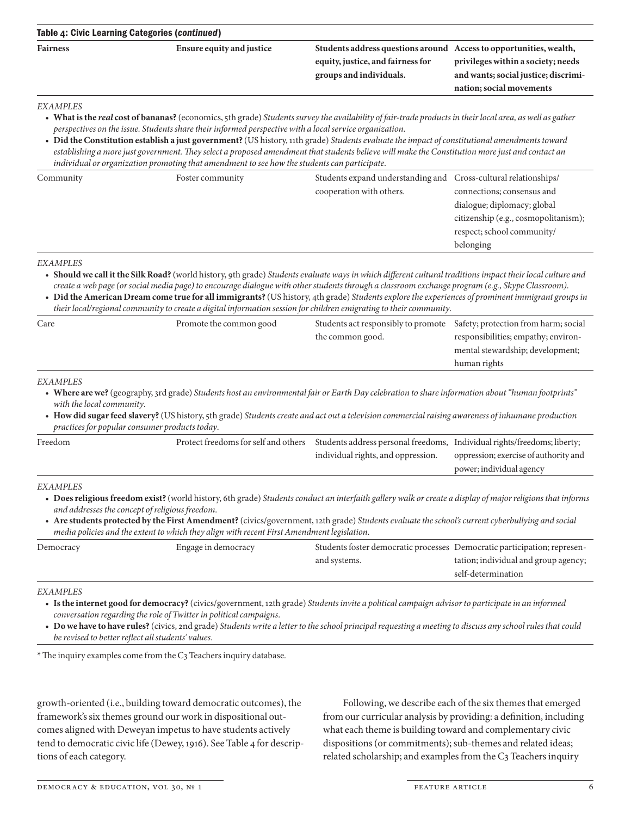| Table 4: Civic Learning Categories (continued) |                           |                                                                                                                                    |                                                                                                        |  |  |
|------------------------------------------------|---------------------------|------------------------------------------------------------------------------------------------------------------------------------|--------------------------------------------------------------------------------------------------------|--|--|
| <b>Fairness</b>                                | Ensure equity and justice | Students address questions around Access to opportunities, wealth,<br>equity, justice, and fairness for<br>groups and individuals. | privileges within a society; needs<br>and wants; social justice; discrimi-<br>nation; social movements |  |  |
| <b>EXAMPLES</b>                                |                           |                                                                                                                                    |                                                                                                        |  |  |

#### *EXAMPLES*

- **What is the** *real* **cost of bananas?** (economics, 5th grade) *Students survey the availability of fair-trade products in their local area, as well as gather perspectives on the issue. Students share their informed perspective with a local service organization*.
- **Did the Constitution establish a just government?** (US history, 11th grade) *Students evaluate the impact of constitutional amendments toward*  establishing a more just government. They select a proposed amendment that students believe will make the Constitution more just and contact an *individual or organization promoting that amendment to see how the students can participate*.

| Community | Foster community | Students expand understanding and Cross-cultural relationships/ |                                      |
|-----------|------------------|-----------------------------------------------------------------|--------------------------------------|
|           |                  | cooperation with others.                                        | connections; consensus and           |
|           |                  |                                                                 | dialogue; diplomacy; global          |
|           |                  |                                                                 | citizenship (e.g., cosmopolitanism); |
|           |                  |                                                                 | respect; school community/           |
|           |                  |                                                                 | belonging                            |

#### *EXAMPLES*

- **Should we call it the Silk Road?** (world history, 9th grade) *Students evaluate ways in which different cultural traditions impact their local culture and create a web page (or social media page) to encourage dialogue with other students through a classroom exchange program (e.g., Skype Classroom)*.
- **Did the American Dream come true for all immigrants?** (US history, 4th grade) *Students explore the experiences of prominent immigrant groups in their local/regional community to create a digital information session for children emigrating to their community*.

| Care | Promote the common good | Students act responsibly to promote Safety; protection from harm; social |                                     |
|------|-------------------------|--------------------------------------------------------------------------|-------------------------------------|
|      |                         | the common good.                                                         | responsibilities; empathy; environ- |
|      |                         |                                                                          | mental stewardship; development;    |
|      |                         |                                                                          | human rights                        |

#### *EXAMPLES*

- **Where are we?** (geography, 3rd grade) *Students host an environmental fair or Earth Day celebration to share information about "human footprints" with the local community*.
- **How did sugar feed slavery?** (US history, 5th grade) *Students create and act out a television commercial raising awareness of inhumane production practices for popular consumer products today*.

| Freedom | Protect freedoms for self and others Students address personal freedoms, Individual rights/freedoms; liberty; |                                    |                                       |
|---------|---------------------------------------------------------------------------------------------------------------|------------------------------------|---------------------------------------|
|         |                                                                                                               | individual rights, and oppression. | oppression; exercise of authority and |
|         |                                                                                                               |                                    | power; individual agency              |
|         |                                                                                                               |                                    |                                       |

#### *EXAMPLES*

- **Does religious freedom exist?** (world history, 6th grade) *Students conduct an interfaith gallery walk or create a display of major religions that informs and addresses the concept of religious freedom*.
- **Are students protected by the First Amendment?** (civics/government, 12th grade) *Students evaluate the school's current cyberbullying and social media policies and the extent to which they align with recent First Amendment legislation*.

| Democracy | Engage in democracy | Students foster democratic processes Democratic participation; represen- |                                      |
|-----------|---------------------|--------------------------------------------------------------------------|--------------------------------------|
|           |                     | and systems.                                                             | tation; individual and group agency; |
|           |                     |                                                                          | self-determination                   |
|           |                     |                                                                          |                                      |

#### *EXAMPLES*

- **Is the internet good for democracy?** (civics/government, 12th grade) *Students invite a political campaign advisor to participate in an informed conversation regarding the role of Twitter in political campaigns*.
- **Do we have to have rules?** (civics, 2nd grade) *Students write a letter to the school principal requesting a meeting to discuss any school rules that could be revised to better reflect all students' values*.

\* The inquiry examples come from the C3 Teachers inquiry database.

growth-oriented (i.e., building toward democratic outcomes), the framework's six themes ground our work in dispositional outcomes aligned with Deweyan impetus to have students actively tend to democratic civic life (Dewey, 1916). See Table 4 for descriptions of each category.

Following, we describe each of the six themes that emerged from our curricular analysis by providing: a definition, including what each theme is building toward and complementary civic dispositions (or commitments); sub-themes and related ideas; related scholarship; and examples from the C3 Teachers inquiry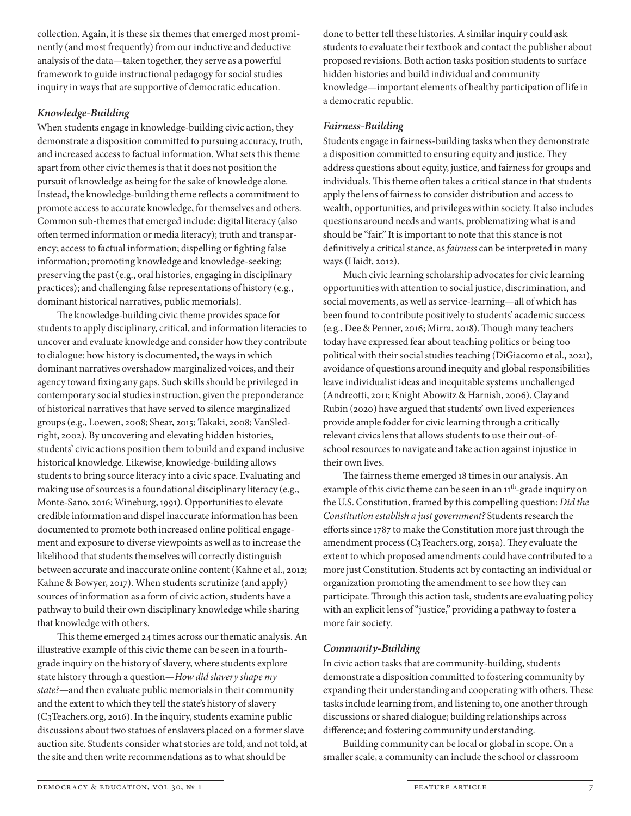collection. Again, it is these six themes that emerged most prominently (and most frequently) from our inductive and deductive analysis of the data—taken together, they serve as a powerful framework to guide instructional pedagogy for social studies inquiry in ways that are supportive of democratic education.

# *Knowledge-Building*

When students engage in knowledge-building civic action, they demonstrate a disposition committed to pursuing accuracy, truth, and increased access to factual information. What sets this theme apart from other civic themes is that it does not position the pursuit of knowledge as being for the sake of knowledge alone. Instead, the knowledge-building theme reflects a commitment to promote access to accurate knowledge, for themselves and others. Common sub-themes that emerged include: digital literacy (also often termed information or media literacy); truth and transparency; access to factual information; dispelling or fighting false information; promoting knowledge and knowledge-seeking; preserving the past (e.g., oral histories, engaging in disciplinary practices); and challenging false representations of history (e.g., dominant historical narratives, public memorials).

The knowledge-building civic theme provides space for students to apply disciplinary, critical, and information literacies to uncover and evaluate knowledge and consider how they contribute to dialogue: how history is documented, the ways in which dominant narratives overshadow marginalized voices, and their agency toward fixing any gaps. Such skills should be privileged in contemporary social studies instruction, given the preponderance of historical narratives that have served to silence marginalized groups (e.g., Loewen, 2008; Shear, 2015; Takaki, 2008; VanSledright, 2002). By uncovering and elevating hidden histories, students' civic actions position them to build and expand inclusive historical knowledge. Likewise, knowledge-building allows students to bring source literacy into a civic space. Evaluating and making use of sources is a foundational disciplinary literacy (e.g., Monte-Sano, 2016; Wineburg, 1991). Opportunities to elevate credible information and dispel inaccurate information has been documented to promote both increased online political engagement and exposure to diverse viewpoints as well as to increase the likelihood that students themselves will correctly distinguish between accurate and inaccurate online content (Kahne et al., 2012; Kahne & Bowyer, 2017). When students scrutinize (and apply) sources of information as a form of civic action, students have a pathway to build their own disciplinary knowledge while sharing that knowledge with others.

This theme emerged 24 times across our thematic analysis. An illustrative example of this civic theme can be seen in a fourthgrade inquiry on the history of slavery, where students explore state history through a question—*How did slavery shape my state?*—and then evaluate public memorials in their community and the extent to which they tell the state's history of slavery (C3Teachers.org, 2016). In the inquiry, students examine public discussions about two statues of enslavers placed on a former slave auction site. Students consider what stories are told, and not told, at the site and then write recommendations as to what should be

done to better tell these histories. A similar inquiry could ask students to evaluate their textbook and contact the publisher about proposed revisions. Both action tasks position students to surface hidden histories and build individual and community knowledge—important elements of healthy participation of life in a democratic republic.

# *Fairness-Building*

Students engage in fairness-building tasks when they demonstrate a disposition committed to ensuring equity and justice. They address questions about equity, justice, and fairness for groups and individuals. This theme often takes a critical stance in that students apply the lens of fairness to consider distribution and access to wealth, opportunities, and privileges within society. It also includes questions around needs and wants, problematizing what is and should be "fair." It is important to note that this stance is not definitively a critical stance, as *fairness* can be interpreted in many ways (Haidt, 2012).

Much civic learning scholarship advocates for civic learning opportunities with attention to social justice, discrimination, and social movements, as well as service-learning—all of which has been found to contribute positively to students' academic success (e.g., Dee & Penner, 2016; Mirra, 2018). Though many teachers today have expressed fear about teaching politics or being too political with their social studies teaching (DiGiacomo et al., 2021), avoidance of questions around inequity and global responsibilities leave individualist ideas and inequitable systems unchallenged (Andreotti, 2011; Knight Abowitz & Harnish, 2006). Clay and Rubin (2020) have argued that students' own lived experiences provide ample fodder for civic learning through a critically relevant civics lens that allows students to use their out-ofschool resources to navigate and take action against injustice in their own lives.

The fairness theme emerged 18 times in our analysis. An example of this civic theme can be seen in an 11<sup>th</sup>-grade inquiry on the U.S. Constitution, framed by this compelling question: *Did the Constitution establish a just government?* Students research the efforts since 1787 to make the Constitution more just through the amendment process (C3Teachers.org, 2015a). They evaluate the extent to which proposed amendments could have contributed to a more just Constitution. Students act by contacting an individual or organization promoting the amendment to see how they can participate. Through this action task, students are evaluating policy with an explicit lens of "justice," providing a pathway to foster a more fair society.

# *Community-Building*

In civic action tasks that are community-building, students demonstrate a disposition committed to fostering community by expanding their understanding and cooperating with others. These tasks include learning from, and listening to, one another through discussions or shared dialogue; building relationships across difference; and fostering community understanding.

Building community can be local or global in scope. On a smaller scale, a community can include the school or classroom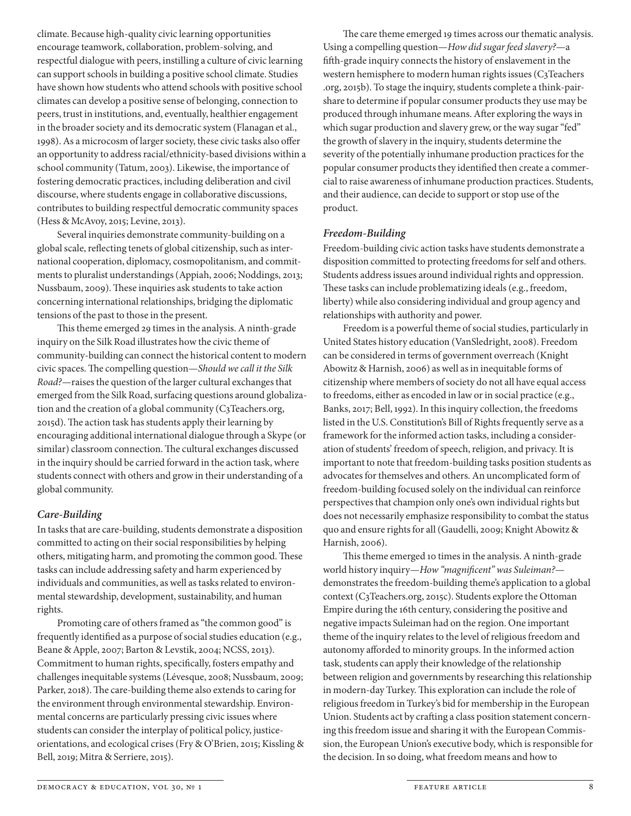climate. Because high-quality civic learning opportunities encourage teamwork, collaboration, problem-solving, and respectful dialogue with peers, instilling a culture of civic learning can support schools in building a positive school climate. Studies have shown how students who attend schools with positive school climates can develop a positive sense of belonging, connection to peers, trust in institutions, and, eventually, healthier engagement in the broader society and its democratic system (Flanagan et al., 1998). As a microcosm of larger society, these civic tasks also offer an opportunity to address racial/ethnicity-based divisions within a school community (Tatum, 2003). Likewise, the importance of fostering democratic practices, including deliberation and civil discourse, where students engage in collaborative discussions, contributes to building respectful democratic community spaces (Hess & McAvoy, 2015; Levine, 2013).

Several inquiries demonstrate community-building on a global scale, reflecting tenets of global citizenship, such as international cooperation, diplomacy, cosmopolitanism, and commitments to pluralist understandings (Appiah, 2006; Noddings, 2013; Nussbaum, 2009). These inquiries ask students to take action concerning international relationships, bridging the diplomatic tensions of the past to those in the present.

This theme emerged 29 times in the analysis. A ninth-grade inquiry on the Silk Road illustrates how the civic theme of community-building can connect the historical content to modern civic spaces. The compelling question—*Should we call it the Silk Road?*—raises the question of the larger cultural exchanges that emerged from the Silk Road, surfacing questions around globalization and the creation of a global community (C3Teachers.org, 2015d). The action task has students apply their learning by encouraging additional international dialogue through a Skype (or similar) classroom connection. The cultural exchanges discussed in the inquiry should be carried forward in the action task, where students connect with others and grow in their understanding of a global community.

# *Care-Building*

In tasks that are care-building, students demonstrate a disposition committed to acting on their social responsibilities by helping others, mitigating harm, and promoting the common good. These tasks can include addressing safety and harm experienced by individuals and communities, as well as tasks related to environmental stewardship, development, sustainability, and human rights.

Promoting care of others framed as "the common good" is frequently identified as a purpose of social studies education (e.g., Beane & Apple, 2007; Barton & Levstik, 2004; NCSS, 2013). Commitment to human rights, specifically, fosters empathy and challenges inequitable systems (Lévesque, 2008; Nussbaum, 2009; Parker, 2018). The care-building theme also extends to caring for the environment through environmental stewardship. Environmental concerns are particularly pressing civic issues where students can consider the interplay of political policy, justiceorientations, and ecological crises (Fry & O'Brien, 2015; Kissling & Bell, 2019; Mitra & Serriere, 2015).

The care theme emerged 19 times across our thematic analysis. Using a compelling question—*How did sugar feed slavery?*—a fifth-grade inquiry connects the history of enslavement in the western hemisphere to modern human rights issues (C3Teachers .org, 2015b). To stage the inquiry, students complete a think-pairshare to determine if popular consumer products they use may be produced through inhumane means. After exploring the ways in which sugar production and slavery grew, or the way sugar "fed" the growth of slavery in the inquiry, students determine the severity of the potentially inhumane production practices for the popular consumer products they identified then create a commercial to raise awareness of inhumane production practices. Students, and their audience, can decide to support or stop use of the product.

# *Freedom-Building*

Freedom-building civic action tasks have students demonstrate a disposition committed to protecting freedoms for self and others. Students address issues around individual rights and oppression. These tasks can include problematizing ideals (e.g., freedom, liberty) while also considering individual and group agency and relationships with authority and power.

Freedom is a powerful theme of social studies, particularly in United States history education (VanSledright, 2008). Freedom can be considered in terms of government overreach (Knight Abowitz & Harnish, 2006) as well as in inequitable forms of citizenship where members of society do not all have equal access to freedoms, either as encoded in law or in social practice (e.g., Banks, 2017; Bell, 1992). In this inquiry collection, the freedoms listed in the U.S. Constitution's Bill of Rights frequently serve as a framework for the informed action tasks, including a consideration of students' freedom of speech, religion, and privacy. It is important to note that freedom-building tasks position students as advocates for themselves and others. An uncomplicated form of freedom-building focused solely on the individual can reinforce perspectives that champion only one's own individual rights but does not necessarily emphasize responsibility to combat the status quo and ensure rights for all (Gaudelli, 2009; Knight Abowitz & Harnish, 2006).

This theme emerged 10 times in the analysis. A ninth-grade world history inquiry—*How "magnificent" was Suleiman?* demonstrates the freedom-building theme's application to a global context (C3Teachers.org, 2015c). Students explore the Ottoman Empire during the 16th century, considering the positive and negative impacts Suleiman had on the region. One important theme of the inquiry relates to the level of religious freedom and autonomy afforded to minority groups. In the informed action task, students can apply their knowledge of the relationship between religion and governments by researching this relationship in modern-day Turkey. This exploration can include the role of religious freedom in Turkey's bid for membership in the European Union. Students act by crafting a class position statement concerning this freedom issue and sharing it with the European Commission, the European Union's executive body, which is responsible for the decision. In so doing, what freedom means and how to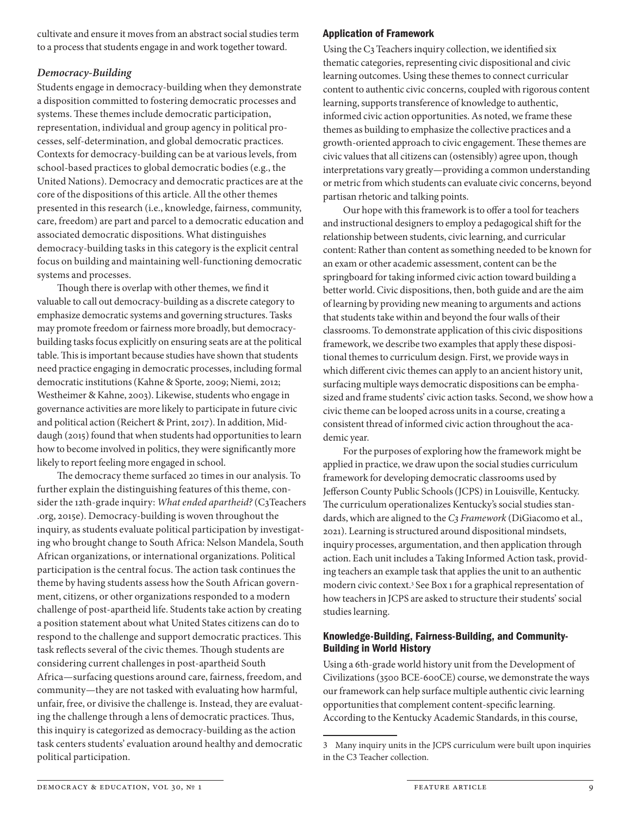cultivate and ensure it moves from an abstract social studies term to a process that students engage in and work together toward.

# *Democracy-Building*

Students engage in democracy-building when they demonstrate a disposition committed to fostering democratic processes and systems. These themes include democratic participation, representation, individual and group agency in political processes, self-determination, and global democratic practices. Contexts for democracy-building can be at various levels, from school-based practices to global democratic bodies (e.g., the United Nations). Democracy and democratic practices are at the core of the dispositions of this article. All the other themes presented in this research (i.e., knowledge, fairness, community, care, freedom) are part and parcel to a democratic education and associated democratic dispositions. What distinguishes democracy-building tasks in this category is the explicit central focus on building and maintaining well-functioning democratic systems and processes.

Though there is overlap with other themes, we find it valuable to call out democracy-building as a discrete category to emphasize democratic systems and governing structures. Tasks may promote freedom or fairness more broadly, but democracybuilding tasks focus explicitly on ensuring seats are at the political table. This is important because studies have shown that students need practice engaging in democratic processes, including formal democratic institutions (Kahne & Sporte, 2009; Niemi, 2012; Westheimer & Kahne, 2003). Likewise, students who engage in governance activities are more likely to participate in future civic and political action (Reichert & Print, 2017). In addition, Middaugh (2015) found that when students had opportunities to learn how to become involved in politics, they were significantly more likely to report feeling more engaged in school.

The democracy theme surfaced 20 times in our analysis. To further explain the distinguishing features of this theme, consider the 12th-grade inquiry: *What ended apartheid?* (C3Teachers .org, 2015e). Democracy-building is woven throughout the inquiry, as students evaluate political participation by investigating who brought change to South Africa: Nelson Mandela, South African organizations, or international organizations. Political participation is the central focus. The action task continues the theme by having students assess how the South African government, citizens, or other organizations responded to a modern challenge of post-apartheid life. Students take action by creating a position statement about what United States citizens can do to respond to the challenge and support democratic practices. This task reflects several of the civic themes. Though students are considering current challenges in post-apartheid South Africa—surfacing questions around care, fairness, freedom, and community—they are not tasked with evaluating how harmful, unfair, free, or divisive the challenge is. Instead, they are evaluating the challenge through a lens of democratic practices. Thus, this inquiry is categorized as democracy-building as the action task centers students' evaluation around healthy and democratic political participation.

# Application of Framework

Using the C3 Teachers inquiry collection, we identified six thematic categories, representing civic dispositional and civic learning outcomes. Using these themes to connect curricular content to authentic civic concerns, coupled with rigorous content learning, supports transference of knowledge to authentic, informed civic action opportunities. As noted, we frame these themes as building to emphasize the collective practices and a growth-oriented approach to civic engagement. These themes are civic values that all citizens can (ostensibly) agree upon, though interpretations vary greatly—providing a common understanding or metric from which students can evaluate civic concerns, beyond partisan rhetoric and talking points.

Our hope with this framework is to offer a tool for teachers and instructional designers to employ a pedagogical shift for the relationship between students, civic learning, and curricular content: Rather than content as something needed to be known for an exam or other academic assessment, content can be the springboard for taking informed civic action toward building a better world. Civic dispositions, then, both guide and are the aim of learning by providing new meaning to arguments and actions that students take within and beyond the four walls of their classrooms. To demonstrate application of this civic dispositions framework, we describe two examples that apply these dispositional themes to curriculum design. First, we provide ways in which different civic themes can apply to an ancient history unit, surfacing multiple ways democratic dispositions can be emphasized and frame students' civic action tasks. Second, we show how a civic theme can be looped across units in a course, creating a consistent thread of informed civic action throughout the academic year.

For the purposes of exploring how the framework might be applied in practice, we draw upon the social studies curriculum framework for developing democratic classrooms used by Jefferson County Public Schools (JCPS) in Louisville, Kentucky. The curriculum operationalizes Kentucky's social studies standards, which are aligned to the *C3 Framework* (DiGiacomo et al., 2021). Learning is structured around dispositional mindsets, inquiry processes, argumentation, and then application through action. Each unit includes a Taking Informed Action task, providing teachers an example task that applies the unit to an authentic modern civic context.<sup>3</sup> See Box 1 for a graphical representation of how teachers in JCPS are asked to structure their students' social studies learning.

# Knowledge-Building, Fairness-Building, and Community-Building in World History

Using a 6th-grade world history unit from the Development of Civilizations (3500 BCE-600CE) course, we demonstrate the ways our framework can help surface multiple authentic civic learning opportunities that complement content-specific learning. According to the Kentucky Academic Standards, in this course,

<sup>3</sup> Many inquiry units in the JCPS curriculum were built upon inquiries in the C3 Teacher collection.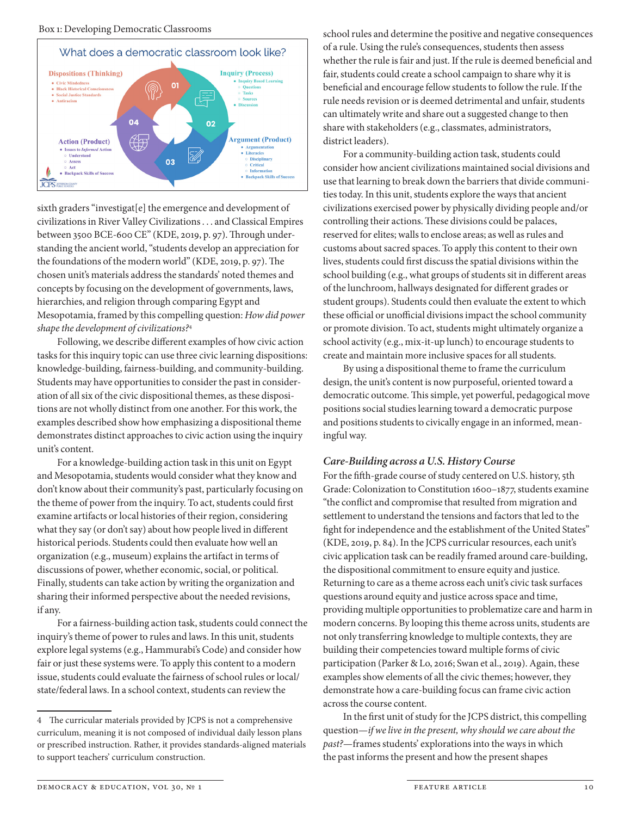

sixth graders "investigat[e] the emergence and development of civilizations in River Valley Civilizations . . . and Classical Empires between 3500 BCE-600 CE" (KDE, 2019, p. 97). Through understanding the ancient world, "students develop an appreciation for the foundations of the modern world" (KDE, 2019, p. 97). The chosen unit's materials address the standards' noted themes and concepts by focusing on the development of governments, laws, hierarchies, and religion through comparing Egypt and Mesopotamia, framed by this compelling question: *How did power shape the development of civilizations?*<sup>4</sup>

Following, we describe different examples of how civic action tasks for this inquiry topic can use three civic learning dispositions: knowledge-building, fairness-building, and community-building. Students may have opportunities to consider the past in consideration of all six of the civic dispositional themes, as these dispositions are not wholly distinct from one another. For this work, the examples described show how emphasizing a dispositional theme demonstrates distinct approaches to civic action using the inquiry unit's content.

For a knowledge-building action task in this unit on Egypt and Mesopotamia, students would consider what they know and don't know about their community's past, particularly focusing on the theme of power from the inquiry. To act, students could first examine artifacts or local histories of their region, considering what they say (or don't say) about how people lived in different historical periods. Students could then evaluate how well an organization (e.g., museum) explains the artifact in terms of discussions of power, whether economic, social, or political. Finally, students can take action by writing the organization and sharing their informed perspective about the needed revisions, if any.

For a fairness-building action task, students could connect the inquiry's theme of power to rules and laws. In this unit, students explore legal systems (e.g., Hammurabi's Code) and consider how fair or just these systems were. To apply this content to a modern issue, students could evaluate the fairness of school rules or local/ state/federal laws. In a school context, students can review the

school rules and determine the positive and negative consequences of a rule. Using the rule's consequences, students then assess whether the rule is fair and just. If the rule is deemed beneficial and fair, students could create a school campaign to share why it is beneficial and encourage fellow students to follow the rule. If the rule needs revision or is deemed detrimental and unfair, students can ultimately write and share out a suggested change to then share with stakeholders (e.g., classmates, administrators, district leaders).

For a community-building action task, students could consider how ancient civilizations maintained social divisions and use that learning to break down the barriers that divide communities today. In this unit, students explore the ways that ancient civilizations exercised power by physically dividing people and/or controlling their actions. These divisions could be palaces, reserved for elites; walls to enclose areas; as well as rules and customs about sacred spaces. To apply this content to their own lives, students could first discuss the spatial divisions within the school building (e.g., what groups of students sit in different areas of the lunchroom, hallways designated for different grades or student groups). Students could then evaluate the extent to which these official or unofficial divisions impact the school community or promote division. To act, students might ultimately organize a school activity (e.g., mix-it-up lunch) to encourage students to create and maintain more inclusive spaces for all students.

By using a dispositional theme to frame the curriculum design, the unit's content is now purposeful, oriented toward a democratic outcome. This simple, yet powerful, pedagogical move positions social studies learning toward a democratic purpose and positions students to civically engage in an informed, meaningful way.

# *Care-Building across a U.S. History Course*

For the fifth-grade course of study centered on U.S. history, 5th Grade: Colonization to Constitution 1600–1877, students examine "the conflict and compromise that resulted from migration and settlement to understand the tensions and factors that led to the fight for independence and the establishment of the United States" (KDE, 2019, p. 84). In the JCPS curricular resources, each unit's civic application task can be readily framed around care-building, the dispositional commitment to ensure equity and justice. Returning to care as a theme across each unit's civic task surfaces questions around equity and justice across space and time, providing multiple opportunities to problematize care and harm in modern concerns. By looping this theme across units, students are not only transferring knowledge to multiple contexts, they are building their competencies toward multiple forms of civic participation (Parker & Lo, 2016; Swan et al., 2019). Again, these examples show elements of all the civic themes; however, they demonstrate how a care-building focus can frame civic action across the course content.

In the first unit of study for the JCPS district, this compelling question—*if we live in the present, why should we care about the past?*—frames students' explorations into the ways in which the past informs the present and how the present shapes

<sup>4</sup> The curricular materials provided by JCPS is not a comprehensive curriculum, meaning it is not composed of individual daily lesson plans or prescribed instruction. Rather, it provides standards-aligned materials to support teachers' curriculum construction.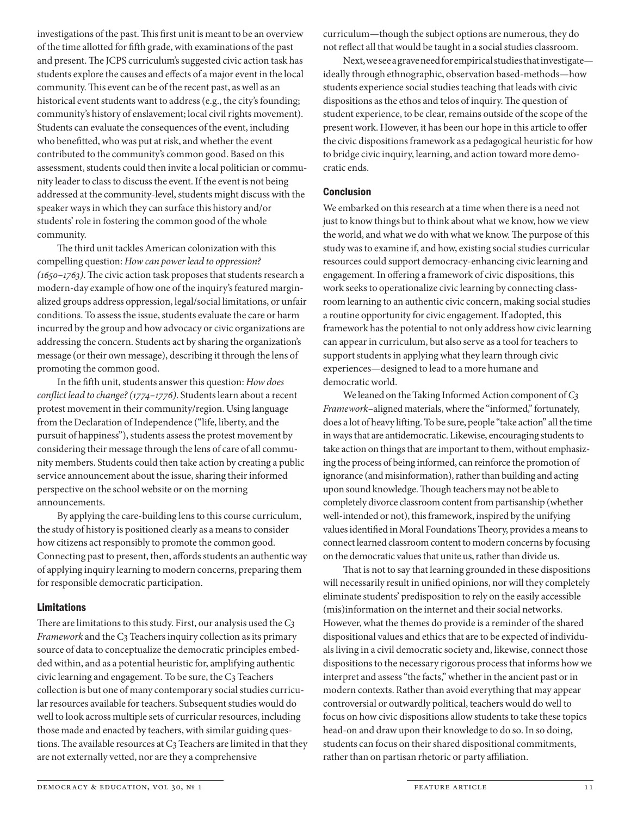investigations of the past. This first unit is meant to be an overview of the time allotted for fifth grade, with examinations of the past and present. The JCPS curriculum's suggested civic action task has students explore the causes and effects of a major event in the local community. This event can be of the recent past, as well as an historical event students want to address (e.g., the city's founding; community's history of enslavement; local civil rights movement). Students can evaluate the consequences of the event, including who benefitted, who was put at risk, and whether the event contributed to the community's common good. Based on this assessment, students could then invite a local politician or community leader to class to discuss the event. If the event is not being addressed at the community-level, students might discuss with the speaker ways in which they can surface this history and/or students' role in fostering the common good of the whole community.

The third unit tackles American colonization with this compelling question: *How can power lead to oppression? (1650–1763)*. The civic action task proposes that students research a modern-day example of how one of the inquiry's featured marginalized groups address oppression, legal/social limitations, or unfair conditions. To assess the issue, students evaluate the care or harm incurred by the group and how advocacy or civic organizations are addressing the concern. Students act by sharing the organization's message (or their own message), describing it through the lens of promoting the common good.

In the fifth unit, students answer this question: *How does conflict lead to change? (1774–1776)*. Students learn about a recent protest movement in their community/region. Using language from the Declaration of Independence ("life, liberty, and the pursuit of happiness"), students assess the protest movement by considering their message through the lens of care of all community members. Students could then take action by creating a public service announcement about the issue, sharing their informed perspective on the school website or on the morning announcements.

By applying the care-building lens to this course curriculum, the study of history is positioned clearly as a means to consider how citizens act responsibly to promote the common good. Connecting past to present, then, affords students an authentic way of applying inquiry learning to modern concerns, preparing them for responsible democratic participation.

# Limitations

There are limitations to this study. First, our analysis used the *C3 Framework* and the C3 Teachers inquiry collection as its primary source of data to conceptualize the democratic principles embedded within, and as a potential heuristic for, amplifying authentic civic learning and engagement. To be sure, the C3 Teachers collection is but one of many contemporary social studies curricular resources available for teachers. Subsequent studies would do well to look across multiple sets of curricular resources, including those made and enacted by teachers, with similar guiding questions. The available resources at C3 Teachers are limited in that they are not externally vetted, nor are they a comprehensive

curriculum—though the subject options are numerous, they do not reflect all that would be taught in a social studies classroom.

Next, we see a grave need for empirical studies that investigate ideally through ethnographic, observation based-methods—how students experience social studies teaching that leads with civic dispositions as the ethos and telos of inquiry. The question of student experience, to be clear, remains outside of the scope of the present work. However, it has been our hope in this article to offer the civic dispositions framework as a pedagogical heuristic for how to bridge civic inquiry, learning, and action toward more democratic ends.

# Conclusion

We embarked on this research at a time when there is a need not just to know things but to think about what we know, how we view the world, and what we do with what we know. The purpose of this study was to examine if, and how, existing social studies curricular resources could support democracy-enhancing civic learning and engagement. In offering a framework of civic dispositions, this work seeks to operationalize civic learning by connecting classroom learning to an authentic civic concern, making social studies a routine opportunity for civic engagement. If adopted, this framework has the potential to not only address how civic learning can appear in curriculum, but also serve as a tool for teachers to support students in applying what they learn through civic experiences—designed to lead to a more humane and democratic world.

We leaned on the Taking Informed Action component of *C3 Framework*–aligned materials, where the "informed," fortunately, does a lot of heavy lifting. To be sure, people "take action" all the time in ways that are antidemocratic. Likewise, encouraging students to take action on things that are important to them, without emphasizing the process of being informed, can reinforce the promotion of ignorance (and misinformation), rather than building and acting upon sound knowledge. Though teachers may not be able to completely divorce classroom content from partisanship (whether well-intended or not), this framework, inspired by the unifying values identified in Moral Foundations Theory, provides a means to connect learned classroom content to modern concerns by focusing on the democratic values that unite us, rather than divide us.

That is not to say that learning grounded in these dispositions will necessarily result in unified opinions, nor will they completely eliminate students' predisposition to rely on the easily accessible (mis)information on the internet and their social networks. However, what the themes do provide is a reminder of the shared dispositional values and ethics that are to be expected of individuals living in a civil democratic society and, likewise, connect those dispositions to the necessary rigorous process that informs how we interpret and assess "the facts," whether in the ancient past or in modern contexts. Rather than avoid everything that may appear controversial or outwardly political, teachers would do well to focus on how civic dispositions allow students to take these topics head-on and draw upon their knowledge to do so. In so doing, students can focus on their shared dispositional commitments, rather than on partisan rhetoric or party affiliation.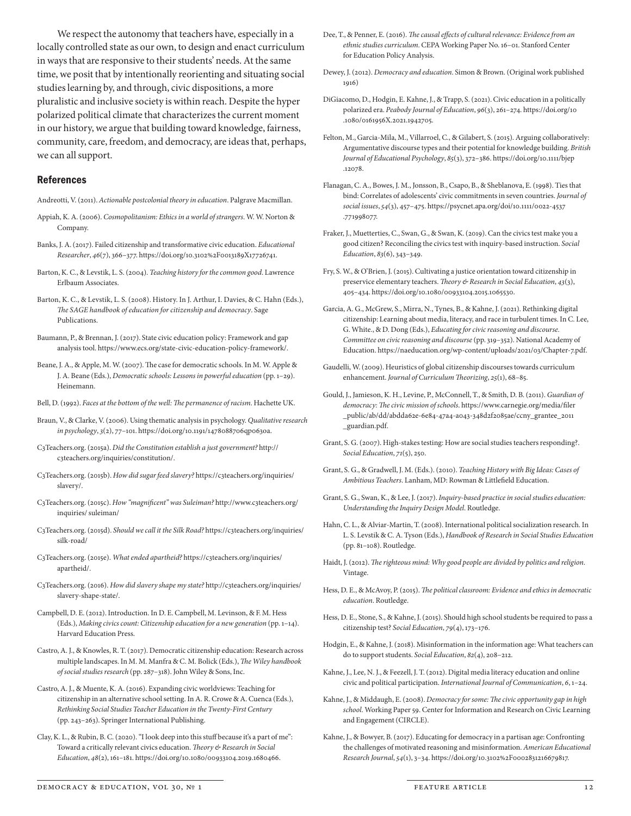We respect the autonomy that teachers have, especially in a locally controlled state as our own, to design and enact curriculum in ways that are responsive to their students' needs. At the same time, we posit that by intentionally reorienting and situating social studies learning by, and through, civic dispositions, a more pluralistic and inclusive society is within reach. Despite the hyper polarized political climate that characterizes the current moment in our history, we argue that building toward knowledge, fairness, community, care, freedom, and democracy, are ideas that, perhaps, we can all support.

#### References

Andreotti, V. (2011). *Actionable postcolonial theory in education*. Palgrave Macmillan.

- Appiah, K. A. (2006). *Cosmopolitanism: Ethics in a world of strangers*. W. W. Norton & Company.
- Banks, J. A. (2017). Failed citizenship and transformative civic education. *Educational Researcher*, *46*(7), 366–377. https://doi.org/10.3102%2F0013189X17726741.
- Barton, K. C., & Levstik, L. S. (2004). *Teaching history for the common good*. Lawrence Erlbaum Associates.
- Barton, K. C., & Levstik, L. S. (2008). History. In J. Arthur, I. Davies, & C. Hahn (Eds.), *The SAGE handbook of education for citizenship and democracy*. Sage Publications.
- Baumann, P., & Brennan, J. (2017). State civic education policy: Framework and gap analysis tool. https://www.ecs.org/state-civic-education-policy-framework/.
- Beane, J. A., & Apple, M. W. (2007). The case for democratic schools. In M. W. Apple & J. A. Beane (Eds.), *Democratic schools: Lessons in powerful education* (pp. 1–29). Heinemann.
- Bell, D. (1992). *Faces at the bottom of the well: The permanence of racism*. Hachette UK.
- Braun, V., & Clarke, V. (2006). Using thematic analysis in psychology. *Qualitative research in psychology*, *3*(2), 77–101. https://doi.org/10.1191/1478088706qp063oa.
- C3Teachers.org. (2015a). *Did the Constitution establish a just government?* http:// c3teachers.org/inquiries/constitution/.
- C3Teachers.org. (2015b). *How did sugar feed slavery?* https://c3teachers.org/inquiries/ slavery/.
- C3Teachers.org. (2015c). *How "magnificent" was Suleiman?* http://www.c3teachers.org/ inquiries/ suleiman/
- C3Teachers.org. (2015d). *Should we call it the Silk Road?* https://c3teachers.org/inquiries/ silk-road/
- C3Teachers.org. (2015e). *What ended apartheid?* https://c3teachers.org/inquiries/ apartheid/.
- C3Teachers.org. (2016). *How did slavery shape my state?* http://c3teachers.org/inquiries/ slavery-shape-state/.
- Campbell, D. E. (2012). Introduction. In D. E. Campbell, M. Levinson, & F. M. Hess (Eds.), *Making civics count: Citizenship education for a new generation* (pp. 1–14). Harvard Education Press.
- Castro, A. J., & Knowles, R. T. (2017). Democratic citizenship education: Research across multiple landscapes. In M. M. Manfra & C. M. Bolick (Eds.), *The Wiley handbook of social studies research* (pp. 287–318). John Wiley & Sons, Inc.
- Castro, A. J., & Muente, K. A. (2016). Expanding civic worldviews: Teaching for citizenship in an alternative school setting. In A. R. Crowe & A. Cuenca (Eds.), *Rethinking Social Studies Teacher Education in the Twenty-First Century* (pp. 243–263). Springer International Publishing.
- Clay, K. L., & Rubin, B. C. (2020). "I look deep into this stuff because it's a part of me": Toward a critically relevant civics education. *Theory & Research in Social Education*, *48*(2), 161–181. https://doi.org/10.1080/00933104.2019.1680466.
- Dee, T., & Penner, E. (2016). *The causal effects of cultural relevance: Evidence from an ethnic studies curriculum*. CEPA Working Paper No. 16–01. Stanford Center for Education Policy Analysis.
- Dewey, J. (2012). *Democracy and education*. Simon & Brown. (Original work published 1916)
- DiGiacomo, D., Hodgin, E. Kahne, J., & Trapp, S. (2021). Civic education in a politically polarized era. *Peabody Journal of Education*, *96*(3), 261–274. https://doi.org/10 .1080/0161956X.2021.1942705.
- Felton, M., Garcia-Mila, M., Villarroel, C., & Gilabert, S. (2015). Arguing collaboratively: Argumentative discourse types and their potential for knowledge building. *British Journal of Educational Psychology*, *85*(3), 372–386. https://doi.org/10.1111/bjep .12078.
- Flanagan, C. A., Bowes, J. M., Jonsson, B., Csapo, B., & Sheblanova, E. (1998). Ties that bind: Correlates of adolescents' civic commitments in seven countries. *Journal of social issues*, *54*(3), 457–475. https://psycnet.apa.org/doi/10.1111/0022-4537 .771998077.
- Fraker, J., Muetterties, C., Swan, G., & Swan, K. (2019). Can the civics test make you a good citizen? Reconciling the civics test with inquiry-based instruction. *Social Education*, *83*(6), 343–349.
- Fry, S. W., & O'Brien, J. (2015). Cultivating a justice orientation toward citizenship in preservice elementary teachers. *Theory & Research in Social Education*, *43*(3), 405–434. https://doi.org/10.1080/00933104.2015.1065530.
- Garcia, A. G., McGrew, S., Mirra, N., Tynes, B., & Kahne, J. (2021). Rethinking digital citizenship: Learning about media, literacy, and race in turbulent times. In C. Lee, G. White., & D. Dong (Eds.), *Educating for civic reasoning and discourse. Committee on civic reasoning and discourse* (pp. 319–352). National Academy of Education. https://naeducation.org/wp-content/uploads/2021/03/Chapter-7.pdf.
- Gaudelli, W. (2009). Heuristics of global citizenship discourses towards curriculum enhancement. *Journal of Curriculum Theorizing*, *25*(1), 68–85.
- Gould, J., Jamieson, K. H., Levine, P., McConnell, T., & Smith, D. B. (2011). *Guardian of democracy: The civic mission of schools*. https://www.carnegie.org/media/filer \_public/ab/dd/abdda62e-6e84-47a4-a043-348d2f2085ae/ccny\_grantee\_2011 \_guardian.pdf.
- Grant, S. G. (2007). High-stakes testing: How are social studies teachers responding?. *Social Education*, *71*(5), 250.
- Grant, S. G., & Gradwell, J. M. (Eds.). (2010). *Teaching History with Big Ideas: Cases of Ambitious Teachers*. Lanham, MD: Rowman & Littlefield Education.
- Grant, S. G., Swan, K., & Lee, J. (2017). *Inquiry-based practice in social studies education: Understanding the Inquiry Design Model*. Routledge.
- Hahn, C. L., & Alviar-Martin, T. (2008). International political socialization research. In L. S. Levstik & C. A. Tyson (Eds.), *Handbook of Research in Social Studies Education* (pp. 81–108). Routledge.
- Haidt, J. (2012). *The righteous mind: Why good people are divided by politics and religion*. Vintage.
- Hess, D. E., & McAvoy, P. (2015). *The political classroom: Evidence and ethics in democratic education*. Routledge.
- Hess, D. E., Stone, S., & Kahne, J. (2015). Should high school students be required to pass a citizenship test? *Social Education*, *79*(4), 173–176.
- Hodgin, E., & Kahne, J. (2018). Misinformation in the information age: What teachers can do to support students. *Social Education*, *82*(4), 208–212.
- Kahne, J., Lee, N. J., & Feezell, J. T. (2012). Digital media literacy education and online civic and political participation. *International Journal of Communication*, *6*, 1–24.
- Kahne, J., & Middaugh, E. (2008). *Democracy for some: The civic opportunity gap in high school*. Working Paper 59. Center for Information and Research on Civic Learning and Engagement (CIRCLE).
- Kahne, J., & Bowyer, B. (2017). Educating for democracy in a partisan age: Confronting the challenges of motivated reasoning and misinformation. *American Educational Research Journal*, *54*(1), 3–34. https://doi.org/10.3102%2F0002831216679817.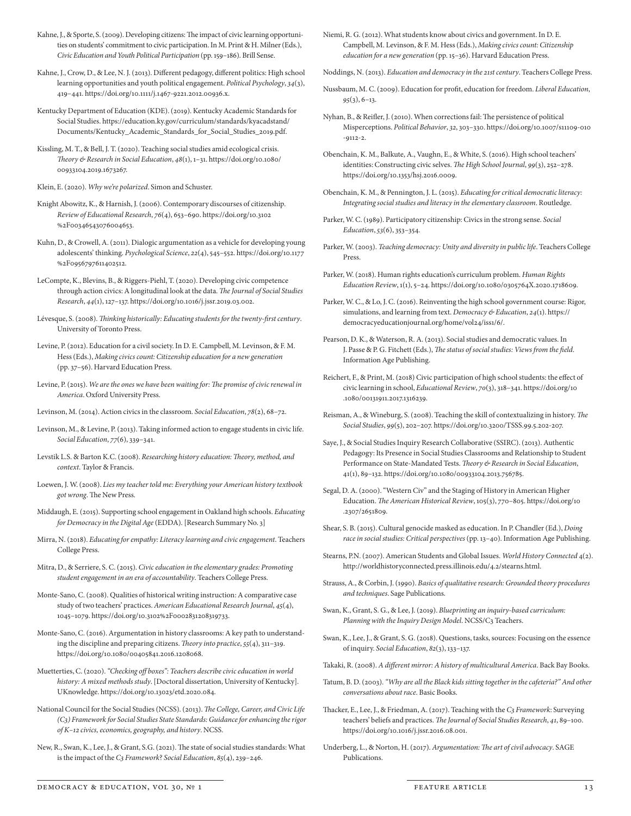- Kahne, J., & Sporte, S. (2009). Developing citizens: The impact of civic learning opportunities on students' commitment to civic participation. In M. Print & H. Milner (Eds.), *Civic Education and Youth Political Participation* (pp. 159–186). Brill Sense.
- Kahne, J., Crow, D., & Lee, N. J. (2013). Different pedagogy, different politics: High school learning opportunities and youth political engagement. *Political Psychology*, *34*(3), 419–441. https://doi.org/10.1111/j.1467-9221.2012.00936.x.
- Kentucky Department of Education (KDE). (2019). Kentucky Academic Standards for Social Studies. https://education.ky.gov/curriculum/standards/kyacadstand/ Documents/Kentucky\_Academic\_Standards\_for\_Social\_Studies\_2019.pdf.
- Kissling, M. T., & Bell, J. T. (2020). Teaching social studies amid ecological crisis. *Theory & Research in Social Education*, *48*(1), 1–31. https://doi.org/10.1080/ 00933104.2019.1673267.
- Klein, E. (2020). *Why we're polarized*. Simon and Schuster.
- Knight Abowitz, K., & Harnish, J. (2006). Contemporary discourses of citizenship. *Review of Educational Research*, *76*(4), 653–690. https://doi.org/10.3102 %2F00346543076004653.
- Kuhn, D., & Crowell, A. (2011). Dialogic argumentation as a vehicle for developing young adolescents' thinking. *Psychological Science*, *22*(4), 545–552. https://doi.org/10.1177 %2F0956797611402512.
- LeCompte, K., Blevins, B., & Riggers-Piehl, T. (2020). Developing civic competence through action civics: A longitudinal look at the data. *The Journal of Social Studies Research*, *44*(1), 127–137. https://doi.org/10.1016/j.jssr.2019.03.002.
- Lévesque, S. (2008). *Thinking historically: Educating students for the twenty-first century*. University of Toronto Press.
- Levine, P. (2012). Education for a civil society. In D. E. Campbell, M. Levinson, & F. M. Hess (Eds.), *Making civics count: Citizenship education for a new generation* (pp. 37–56). Harvard Education Press.
- Levine, P. (2015). *We are the ones we have been waiting for: The promise of civic renewal in America*. Oxford University Press.
- Levinson, M. (2014). Action civics in the classroom. *Social Education*, *78*(2), 68–72.
- Levinson, M., & Levine, P. (2013). Taking informed action to engage students in civic life. *Social Education*, *77*(6), 339–341.
- Levstik L.S. & Barton K.C. (2008). *Researching history education: Theory, method, and context*. Taylor & Francis.
- Loewen, J. W. (2008). *Lies my teacher told me: Everything your American history textbook got wrong*. The New Press.
- Middaugh, E. (2015). Supporting school engagement in Oakland high schools. *Educating for Democracy in the Digital Age* (EDDA). [Research Summary No. 3]
- Mirra, N. (2018). *Educating for empathy: Literacy learning and civic engagement*. Teachers College Press.
- Mitra, D., & Serriere, S. C. (2015). *Civic education in the elementary grades: Promoting student engagement in an era of accountability*. Teachers College Press.
- Monte-Sano, C. (2008). Qualities of historical writing instruction: A comparative case study of two teachers' practices. *American Educational Research Journal*, *45*(4), 1045–1079. https://doi.org/10.3102%2F0002831208319733.
- Monte-Sano, C. (2016). Argumentation in history classrooms: A key path to understanding the discipline and preparing citizens. *Theory into practice*, *55*(4), 311–319. https://doi.org/10.1080/00405841.2016.1208068.
- Muetterties, C. (2020). *"Checking off boxes": Teachers describe civic education in world history: A mixed methods study*. [Doctoral dissertation, University of Kentucky]. UKnowledge. https://doi.org/10.13023/etd.2020.084.
- National Council for the Social Studies (NCSS). (2013). *The College, Career, and Civic Life (C3) Framework for Social Studies State Standards: Guidance for enhancing the rigor of K–12 civics, economics, geography, and history*. NCSS.
- New, R., Swan, K., Lee, J., & Grant, S.G. (2021). The state of social studies standards: What is the impact of the *C3 Framework*? *Social Education*, *85*(4), 239–246.
- Niemi, R. G. (2012). What students know about civics and government. In D. E. Campbell, M. Levinson, & F. M. Hess (Eds.), *Making civics count: Citizenship education for a new generation* (pp. 15–36). Harvard Education Press.
- Noddings, N. (2013). *Education and democracy in the 21st century*. Teachers College Press.
- Nussbaum, M. C. (2009). Education for profit, education for freedom. *Liberal Education*, *95*(3), 6–13.
- Nyhan, B., & Reifler, J. (2010). When corrections fail: The persistence of political Misperceptions. *Political Behavior*, *32*, 303–330. https://doi.org/10.1007/s11109-010 -9112-2.
- Obenchain, K. M., Balkute, A., Vaughn, E., & White, S. (2016). High school teachers' identities: Constructing civic selves. *The High School Journal*, *99*(3), 252–278. https://doi.org/10.1353/hsj.2016.0009.
- Obenchain, K. M., & Pennington, J. L. (2015). *Educating for critical democratic literacy: Integrating social studies and literacy in the elementary classroom*. Routledge.
- Parker, W. C. (1989). Participatory citizenship: Civics in the strong sense. *Social Education*, *53*(6), 353–354.
- Parker, W. (2003). *Teaching democracy: Unity and diversity in public life*. Teachers College Press.
- Parker, W. (2018). Human rights education's curriculum problem. *Human Rights Education Review*, 1(1), 5–24. https://doi.org/10.1080/0305764X.2020.1718609.
- Parker, W. C., & Lo, J. C. (2016). Reinventing the high school government course: Rigor, simulations, and learning from text. *Democracy & Education*, *24*(1). https:// democracyeducationjournal.org/home/vol24/iss1/6/.
- Pearson, D. K., & Waterson, R. A. (2013). Social studies and democratic values. In J. Passe & P. G. Fitchett (Eds.), *The status of social studies: Views from the field*. Information Age Publishing.
- Reichert, F., & Print, M. (2018) Civic participation of high school students: the effect of civic learning in school, *Educational Review*, *70*(3), 318–341. https://doi.org/10 .1080/00131911.2017.1316239.
- Reisman, A., & Wineburg, S. (2008). Teaching the skill of contextualizing in history. *The Social Studies*, *99*(5), 202–207. https://doi.org/10.3200/TSSS.99.5.202-207.
- Saye, J., & Social Studies Inquiry Research Collaborative (SSIRC). (2013). Authentic Pedagogy: Its Presence in Social Studies Classrooms and Relationship to Student Performance on State-Mandated Tests. *Theory & Research in Social Education*, 41(1), 89–132. https://doi.org/10.1080/00933104.2013.756785.
- Segal, D. A. (2000). "Western Civ" and the Staging of History in American Higher Education. *The American Historical Review*, 105(3), 770–805. https://doi.org/10 .2307/2651809.
- Shear, S. B. (2015). Cultural genocide masked as education. In P. Chandler (Ed.), *Doing race in social studies: Critical perspectives* (pp. 13–40). Information Age Publishing.
- Stearns, P.N. (2007). American Students and Global Issues. *World History Connected* 4(2). http://worldhistoryconnected.press.illinois.edu/4.2/stearns.html.
- Strauss, A., & Corbin, J. (1990). *Basics of qualitative research: Grounded theory procedures and techniques*. Sage Publications.
- Swan, K., Grant, S. G., & Lee, J. (2019). *Blueprinting an inquiry-based curriculum: Planning with the Inquiry Design Model*. NCSS/C3 Teachers.
- Swan, K., Lee, J., & Grant, S. G. (2018). Questions, tasks, sources: Focusing on the essence of inquiry. *Social Education*, *82*(3), 133–137.
- Takaki, R. (2008). *A different mirror: A history of multicultural America*. Back Bay Books.
- Tatum, B. D. (2003). *"Why are all the Black kids sitting together in the cafeteria?" And other conversations about race*. Basic Books.
- Thacker, E., Lee, J., & Friedman, A. (2017). Teaching with the *C3 Framework*: Surveying teachers' beliefs and practices. *The Journal of Social Studies Research*, *41*, 89–100. https://doi.org/10.1016/j.jssr.2016.08.001.
- Underberg, L., & Norton, H. (2017). *Argumentation: The art of civil advocacy*. SAGE Publications.